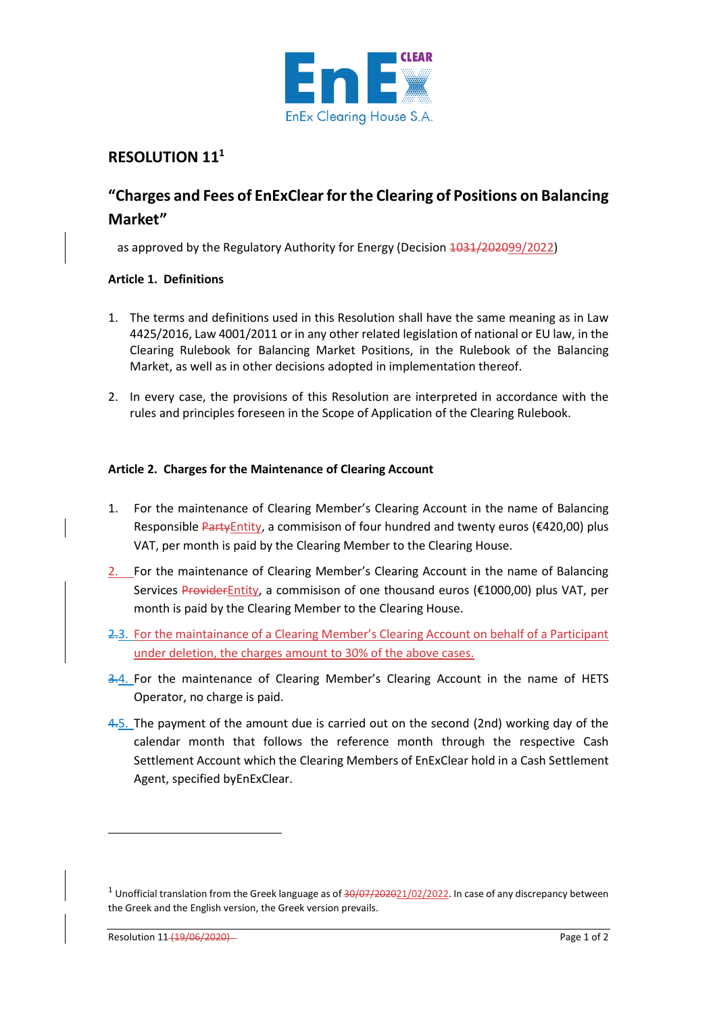

# **RESOLUTION 11<sup>1</sup>**

# **"Charges and Fees of EnExClear for the Clearing of Positions on Balancing Market"**

as approved by the Regulatory Authority for Energy (Decision 1031/202099/2022)

## **Article 1. Definitions**

- 1. The terms and definitions used in this Resolution shall have the same meaning as in Law 4425/2016, Law 4001/2011 or in any other related legislation of national or EU law, in the Clearing Rulebook for Balancing Market Positions, in the Rulebook of the Balancing Market, as well as in other decisions adopted in implementation thereof.
- 2. In every case, the provisions of this Resolution are interpreted in accordance with the rules and principles foreseen in the Scope of Application of the Clearing Rulebook.

## **Article 2. Charges for the Maintenance of Clearing Account**

- 1. For the maintenance of Clearing Member's Clearing Account in the name of Balancing Responsible PartyEntity, a commisison of four hundred and twenty euros ( $\epsilon$ 420,00) plus VAT, per month is paid by the Clearing Member to the Clearing House.
- 2. For the maintenance of Clearing Member's Clearing Account in the name of Balancing Services ProviderEntity, a commisison of one thousand euros (€1000,00) plus VAT, per month is paid by the Clearing Member to the Clearing House.
- 2.3. For the maintainance of a Clearing Member's Clearing Account on behalf of a Participant under deletion, the charges amount to 30% of the above cases.
- 3.4. For the maintenance of Clearing Member's Clearing Account in the name of HETS Operator, no charge is paid.
- 4.5. The payment of the amount due is carried out on the second (2nd) working day of the calendar month that follows the reference month through the respective Cash Settlement Account which the Clearing Members of EnExClear hold in a Cash Settlement Agent, specified byEnExClear.

<sup>&</sup>lt;sup>1</sup> Unofficial translation from the Greek language as of  $\frac{30}{07}$ /202021/02/2022. In case of any discrepancy between the Greek and the English version, the Greek version prevails.